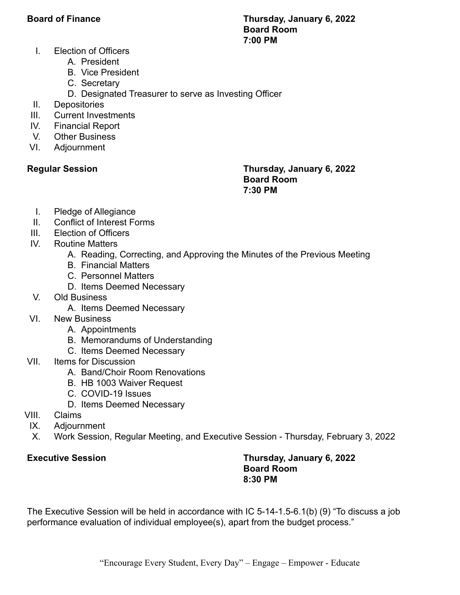### **Board of Finance Thursday, January 6, 2022 Board Room 7:00 PM**

- I. Election of Officers
	- A. President
	- B. Vice President
	- C. Secretary
	- D. Designated Treasurer to serve as Investing Officer
- II. Depositories
- III. Current Investments
- IV. Financial Report
- V. Other Business
- VI. Adjournment

## **Regular Session Thursday, January 6, 2022 Board Room 7:30 PM**

- I. Pledge of Allegiance
- II. Conflict of Interest Forms
- III. Election of Officers
- IV. Routine Matters
	- A. Reading, Correcting, and Approving the Minutes of the Previous Meeting
	- B. Financial Matters
	- C. Personnel Matters
	- D. Items Deemed Necessary
- V. Old Business
	- A. Items Deemed Necessary
- VI. New Business
	- A. Appointments
	- B. Memorandums of Understanding
	- C. Items Deemed Necessary
- VII. Items for Discussion
	- A. Band/Choir Room Renovations
	- B. HB 1003 Waiver Request
	- C. COVID-19 Issues
	- D. Items Deemed Necessary
- VIII. Claims
- IX. Adjournment
- X. Work Session, Regular Meeting, and Executive Session Thursday, February 3, 2022

# **Executive Session Thursday, January 6, 2022 Board Room 8:30 PM**

The Executive Session will be held in accordance with IC 5-14-1.5-6.1(b) (9) "To discuss a job performance evaluation of individual employee(s), apart from the budget process."